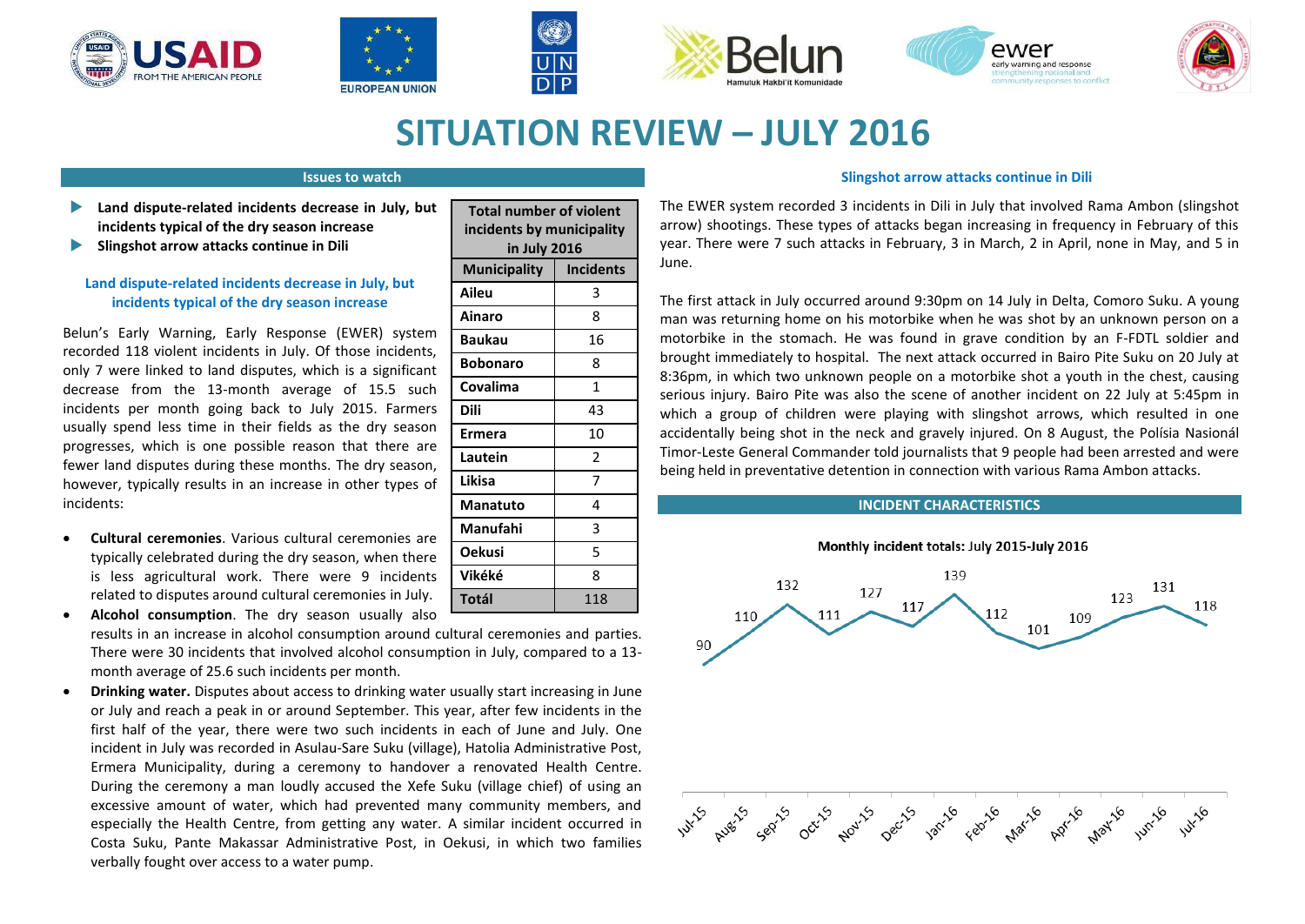











# **SITUATION REVIEW – JULY 2016**

## **Issues to watch**

- **Land dispute-related incidents decrease in July, but incidents typical of the dry season increase**
- **Slingshot arrow attacks continue in Dili**

# **Land dispute-related incidents decrease in July, but incidents typical of the dry season increase**

Belun's Early Warning, Early Response (EWER) system recorded 118 violent incidents in July. Of those incidents, only 7 were linked to land disputes, which is a significant decrease from the 13-month average of 15.5 such incidents per month going back to July 2015. Farmers usually spend less time in their fields as the dry season progresses, which is one possible reason that there are fewer land disputes during these months. The dry season, however, typically results in an increase in other types of incidents:

 **Cultural ceremonies**. Various cultural ceremonies are typically celebrated during the dry season, when there is less agricultural work. There were 9 incidents related to disputes around cultural ceremonies in July.

 **Alcohol consumption**. The dry season usually also results in an increase in alcohol consumption around cultural ceremonies and parties. There were 30 incidents that involved alcohol consumption in July, compared to a 13 month average of 25.6 such incidents per month.

 **Drinking water.** Disputes about access to drinking water usually start increasing in June or July and reach a peak in or around September. This year, after few incidents in the first half of the year, there were two such incidents in each of June and July. One incident in July was recorded in Asulau-Sare Suku (village), Hatolia Administrative Post, Ermera Municipality, during a ceremony to handover a renovated Health Centre. During the ceremony a man loudly accused the Xefe Suku (village chief) of using an excessive amount of water, which had prevented many community members, and especially the Health Centre, from getting any water. A similar incident occurred in Costa Suku, Pante Makassar Administrative Post, in Oekusi, in which two families verbally fought over access to a water pump.

| <b>Total number of violent</b><br>incidents by municipality<br>in July 2016 |                  |
|-----------------------------------------------------------------------------|------------------|
| <b>Municipality</b>                                                         | <b>Incidents</b> |
| Aileu                                                                       | 3                |
| <b>Ainaro</b>                                                               | 8                |
| <b>Baukau</b>                                                               | 16               |
| <b>Bobonaro</b>                                                             | 8                |
| Covalima                                                                    | $\mathbf{1}$     |
| <b>Dili</b>                                                                 | 43               |
| Ermera                                                                      | 10               |
| Lautein                                                                     | 2                |
| Likisa                                                                      | 7                |
| <b>Manatuto</b>                                                             | 4                |
| Manufahi                                                                    | 3                |
| Oekusi                                                                      | 5                |
| Vikéké                                                                      | 8                |
| Totál                                                                       | 118              |

## **Slingshot arrow attacks continue in Dili**

The EWER system recorded 3 incidents in Dili in July that involved Rama Ambon (slingshot arrow) shootings. These types of attacks began increasing in frequency in February of this year. There were 7 such attacks in February, 3 in March, 2 in April, none in May, and 5 in June.

The first attack in July occurred around 9:30pm on 14 July in Delta, Comoro Suku. A young man was returning home on his motorbike when he was shot by an unknown person on a motorbike in the stomach. He was found in grave condition by an F-FDTL soldier and brought immediately to hospital. The next attack occurred in Bairo Pite Suku on 20 July at 8:36pm, in which two unknown people on a motorbike shot a youth in the chest, causing serious injury. Bairo Pite was also the scene of another incident on 22 July at 5:45pm in which a group of children were playing with slingshot arrows, which resulted in one accidentally being shot in the neck and gravely injured. On 8 August, the Polísia Nasionál Timor-Leste General Commander told journalists that 9 people had been arrested and were being held in preventative detention in connection with various Rama Ambon attacks.

## **INCIDENT CHARACTERISTICS**

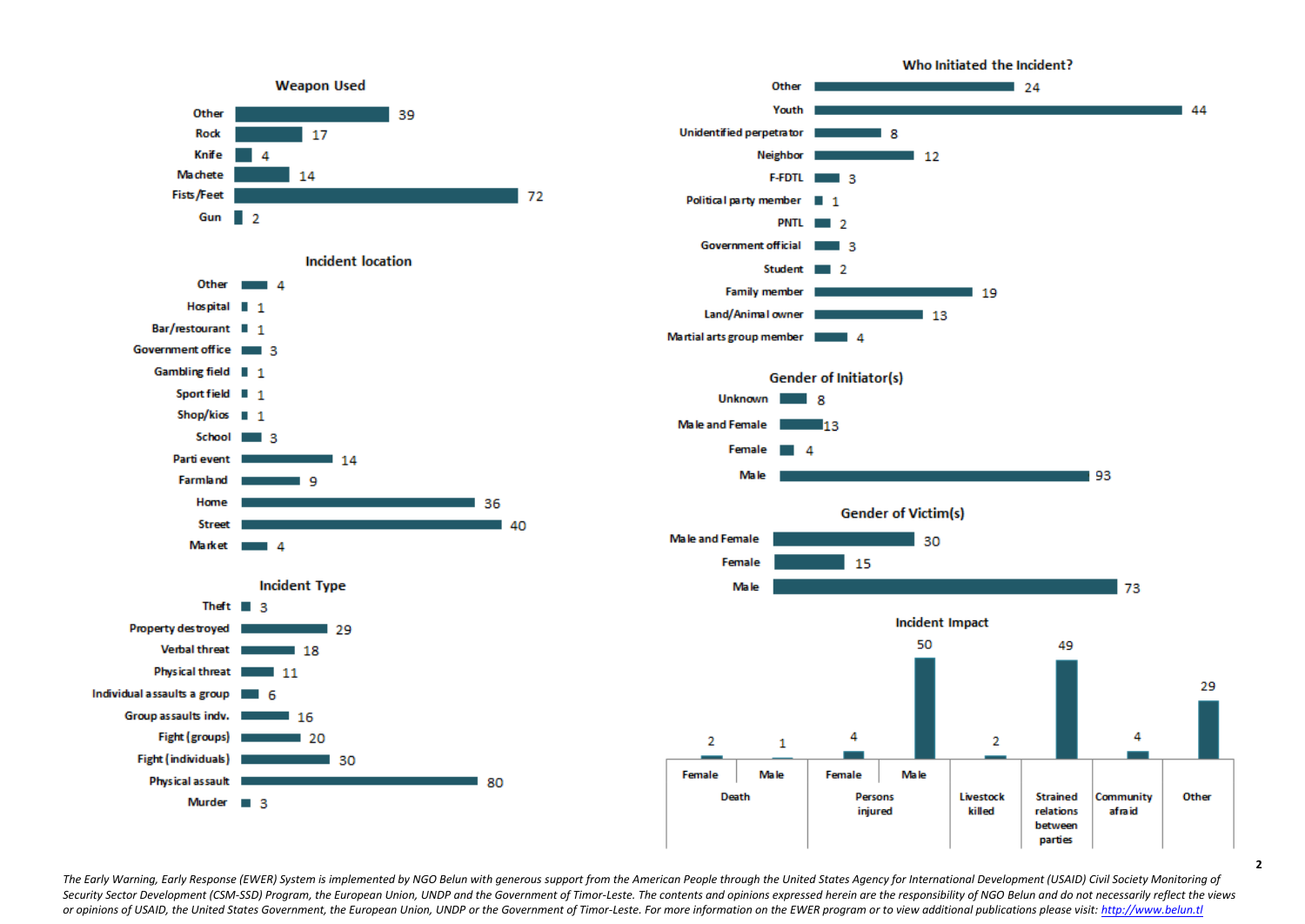

The Early Warning, Early Response (EWER) System is implemented by NGO Belun with generous support from the American People through the United States Agency for International Development (USAID) Civil Society Monitoring of Security Sector Development (CSM-SSD) Program, the European Union, UNDP and the Government of Timor-Leste. The contents and opinions expressed herein are the responsibility of NGO Belun and do not necessarily reflect the v or opinions of USAID, the United States Government, the European Union, UNDP or the Government of Timor-Leste, For more information on the EWER program or to view additional publications please visit; http://www.belun.tl